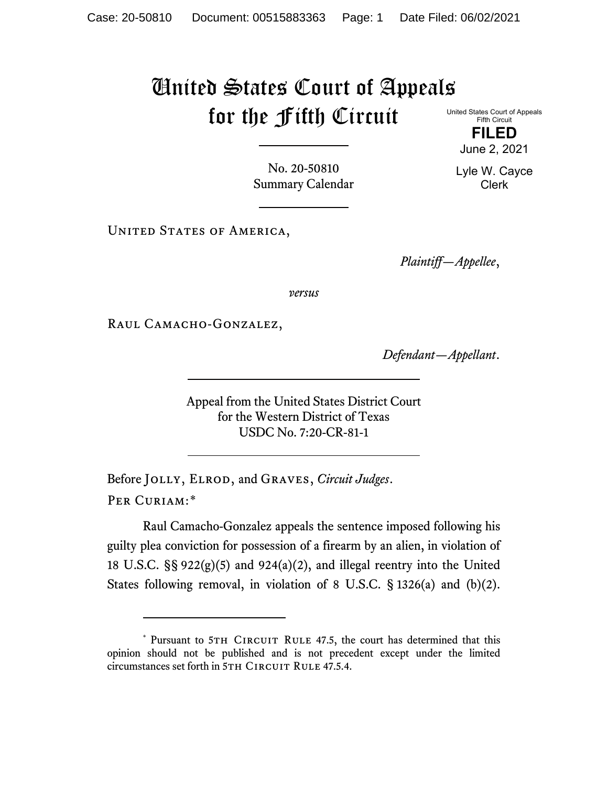## United States Court of Appeals for the Fifth Circuit United States Court of Appeals

Fifth Circuit **FILED**

June 2, 2021

Lyle W. Cayce Clerk

No. 20-50810 Summary Calendar

UNITED STATES OF AMERICA,

*Plaintiff—Appellee*,

*versus*

RAUL CAMACHO-GONZALEZ,

*Defendant—Appellant*.

Appeal from the United States District Court for the Western District of Texas USDC No. 7:20-CR-81-1

Before Jolly, Elrod, and Graves, *Circuit Judges*. Per Curiam:[\\*](#page-0-0)

Raul Camacho-Gonzalez appeals the sentence imposed following his guilty plea conviction for possession of a firearm by an alien, in violation of 18 U.S.C.  $\S$ § 922(g)(5) and 924(a)(2), and illegal reentry into the United States following removal, in violation of 8 U.S.C. § 1326(a) and (b)(2).

<span id="page-0-0"></span><sup>\*</sup> Pursuant to 5TH CIRCUIT RULE 47.5, the court has determined that this opinion should not be published and is not precedent except under the limited circumstances set forth in 5TH CIRCUIT RULE 47.5.4.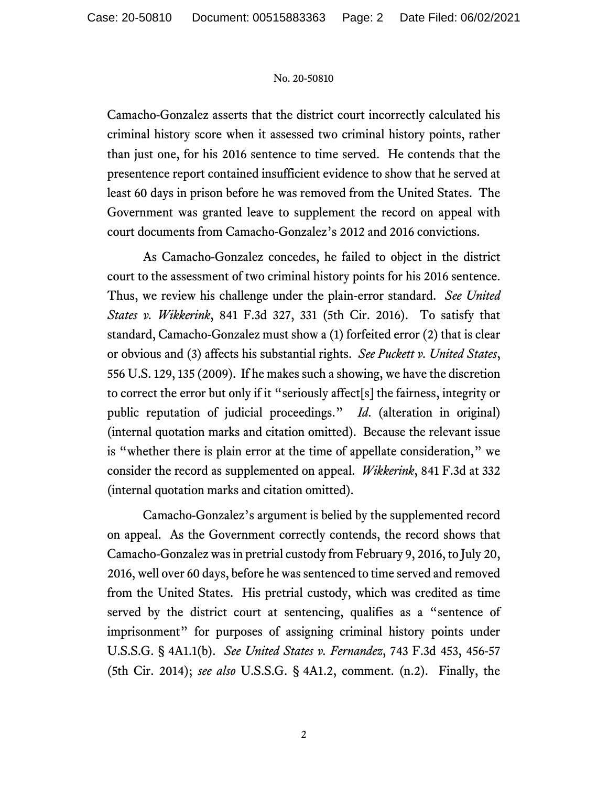## No. 20-50810

Camacho-Gonzalez asserts that the district court incorrectly calculated his criminal history score when it assessed two criminal history points, rather than just one, for his 2016 sentence to time served. He contends that the presentence report contained insufficient evidence to show that he served at least 60 days in prison before he was removed from the United States. The Government was granted leave to supplement the record on appeal with court documents from Camacho-Gonzalez's 2012 and 2016 convictions.

As Camacho-Gonzalez concedes, he failed to object in the district court to the assessment of two criminal history points for his 2016 sentence. Thus, we review his challenge under the plain-error standard. *See United States v. Wikkerink*, 841 F.3d 327, 331 (5th Cir. 2016). To satisfy that standard, Camacho-Gonzalez must show a (1) forfeited error (2) that is clear or obvious and (3) affects his substantial rights. *See Puckett v. United States*, 556 U.S. 129, 135 (2009). If he makes such a showing, we have the discretion to correct the error but only if it "seriously affect[s] the fairness, integrity or public reputation of judicial proceedings." *Id*. (alteration in original) (internal quotation marks and citation omitted). Because the relevant issue is "whether there is plain error at the time of appellate consideration," we consider the record as supplemented on appeal. *Wikkerink*, 841 F.3d at 332 (internal quotation marks and citation omitted).

Camacho-Gonzalez's argument is belied by the supplemented record on appeal. As the Government correctly contends, the record shows that Camacho-Gonzalez was in pretrial custody from February 9, 2016, to July 20, 2016, well over 60 days, before he was sentenced to time served and removed from the United States. His pretrial custody, which was credited as time served by the district court at sentencing, qualifies as a "sentence of imprisonment" for purposes of assigning criminal history points under U.S.S.G. § 4A1.1(b). *See United States v. Fernandez*, 743 F.3d 453, 456-57 (5th Cir. 2014); *see also* U.S.S.G. § 4A1.2, comment. (n.2). Finally, the